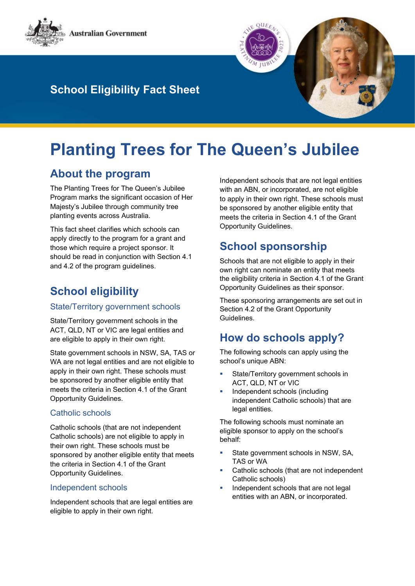

# **School Eligibility Fact Sheet**

# **Planting Trees for The Queen's Jubilee**

### **About the program**

The Planting Trees for The Queen's Jubilee Program marks the significant occasion of Her Majesty's Jubilee through community tree planting events across Australia.

This fact sheet clarifies which schools can apply directly to the program for a grant and those which require a project sponsor. It should be read in conjunction with Section 4.1 and 4.2 of the program guidelines.

# **School eligibility**

#### State/Territory government schools

State/Territory government schools in the ACT, QLD, NT or VIC are legal entities and are eligible to apply in their own right.

State government schools in NSW, SA, TAS or WA are not legal entities and are not eligible to apply in their own right. These schools must be sponsored by another eligible entity that meets the criteria in Section 4.1 of the Grant Opportunity Guidelines.

#### Catholic schools

Catholic schools (that are not independent Catholic schools) are not eligible to apply in their own right. These schools must be sponsored by another eligible entity that meets the criteria in Section 4.1 of the Grant Opportunity Guidelines.

#### Independent schools

Independent schools that are legal entities are eligible to apply in their own right.

Independent schools that are not legal entities with an ABN, or incorporated, are not eligible to apply in their own right. These schools must be sponsored by another eligible entity that meets the criteria in Section 4.1 of the Grant Opportunity Guidelines.

## **School sponsorship**

Schools that are not eligible to apply in their own right can nominate an entity that meets the eligibility criteria in Section 4.1 of the Grant Opportunity Guidelines as their sponsor.

These sponsoring arrangements are set out in Section 4.2 of the Grant Opportunity Guidelines.

### **How do schools apply?**

The following schools can apply using the school's unique ABN:

- State/Territory government schools in ACT, QLD, NT or VIC
- **Independent schools (including** independent Catholic schools) that are legal entities.

The following schools must nominate an eligible sponsor to apply on the school's behalf:

- State government schools in NSW, SA, TAS or WA
- **Catholic schools (that are not independent** Catholic schools)
- Independent schools that are not legal entities with an ABN, or incorporated.